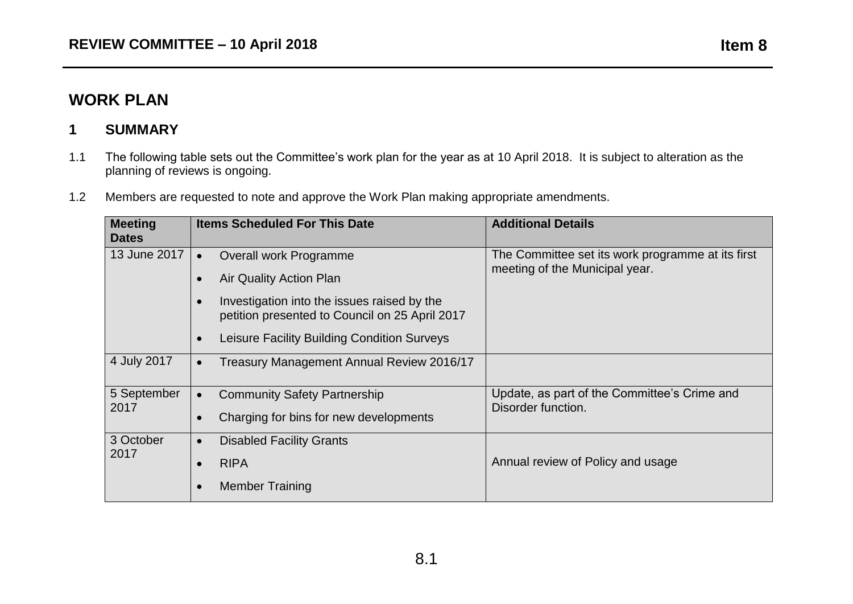## **WORK PLAN**

## **1 SUMMARY**

- 1.1 The following table sets out the Committee's work plan for the year as at 10 April 2018. It is subject to alteration as the planning of reviews is ongoing.
- 1.2 Members are requested to note and approve the Work Plan making appropriate amendments.

| <b>Meeting</b><br><b>Dates</b> | <b>Items Scheduled For This Date</b>                                                          | <b>Additional Details</b>                                                           |
|--------------------------------|-----------------------------------------------------------------------------------------------|-------------------------------------------------------------------------------------|
| 13 June 2017                   | Overall work Programme                                                                        | The Committee set its work programme at its first<br>meeting of the Municipal year. |
|                                | Air Quality Action Plan                                                                       |                                                                                     |
|                                | Investigation into the issues raised by the<br>petition presented to Council on 25 April 2017 |                                                                                     |
|                                | Leisure Facility Building Condition Surveys                                                   |                                                                                     |
| 4 July 2017                    | Treasury Management Annual Review 2016/17                                                     |                                                                                     |
| 5 September<br>2017            | <b>Community Safety Partnership</b>                                                           | Update, as part of the Committee's Crime and                                        |
|                                | Charging for bins for new developments                                                        | Disorder function.                                                                  |
| 3 October<br>2017              | <b>Disabled Facility Grants</b><br>$\bullet$                                                  |                                                                                     |
|                                | <b>RIPA</b>                                                                                   | Annual review of Policy and usage                                                   |
|                                | <b>Member Training</b>                                                                        |                                                                                     |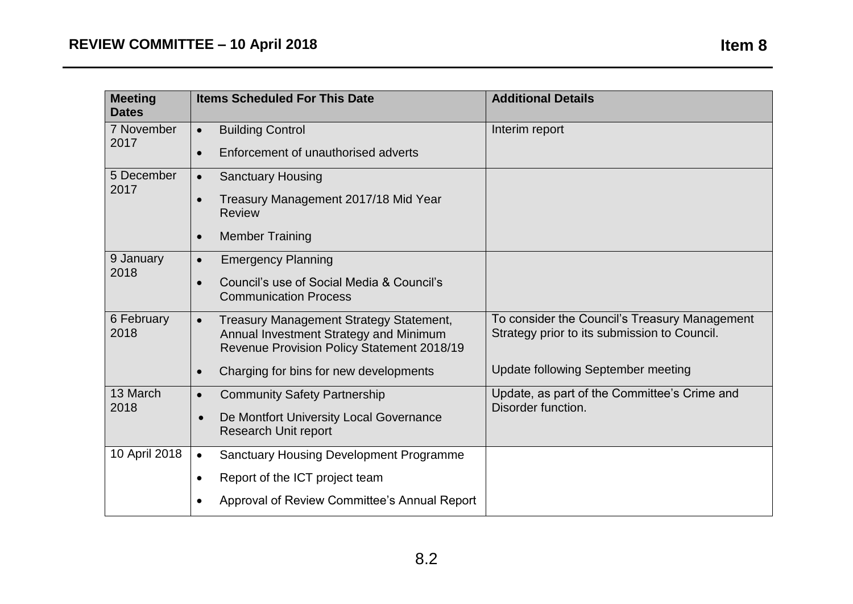| <b>Meeting</b><br><b>Dates</b> | <b>Items Scheduled For This Date</b>                                                                                                                | <b>Additional Details</b>                                                                     |
|--------------------------------|-----------------------------------------------------------------------------------------------------------------------------------------------------|-----------------------------------------------------------------------------------------------|
| 7 November<br>2017             | <b>Building Control</b><br>$\bullet$                                                                                                                | Interim report                                                                                |
|                                | Enforcement of unauthorised adverts<br>$\bullet$                                                                                                    |                                                                                               |
| 5 December<br>2017             | <b>Sanctuary Housing</b><br>$\bullet$                                                                                                               |                                                                                               |
|                                | Treasury Management 2017/18 Mid Year<br>$\bullet$<br><b>Review</b>                                                                                  |                                                                                               |
|                                | <b>Member Training</b><br>$\bullet$                                                                                                                 |                                                                                               |
| 9 January                      | <b>Emergency Planning</b><br>$\bullet$                                                                                                              |                                                                                               |
| 2018                           | Council's use of Social Media & Council's<br><b>Communication Process</b>                                                                           |                                                                                               |
| 6 February<br>2018             | <b>Treasury Management Strategy Statement,</b><br>$\bullet$<br>Annual Investment Strategy and Minimum<br>Revenue Provision Policy Statement 2018/19 | To consider the Council's Treasury Management<br>Strategy prior to its submission to Council. |
|                                | Charging for bins for new developments<br>$\bullet$                                                                                                 | Update following September meeting                                                            |
| 13 March<br>2018               | <b>Community Safety Partnership</b><br>$\bullet$                                                                                                    | Update, as part of the Committee's Crime and                                                  |
|                                | De Montfort University Local Governance<br><b>Research Unit report</b>                                                                              | Disorder function.                                                                            |
| 10 April 2018                  | <b>Sanctuary Housing Development Programme</b><br>$\bullet$                                                                                         |                                                                                               |
|                                | Report of the ICT project team<br>$\bullet$                                                                                                         |                                                                                               |
|                                | Approval of Review Committee's Annual Report                                                                                                        |                                                                                               |